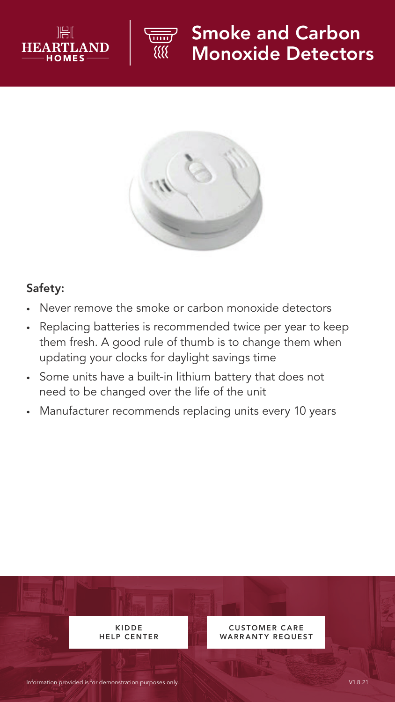



## Smoke and Carbon Monoxide Detectors



## Safety:

- Never remove the smoke or carbon monoxide detectors
- Replacing batteries is recommended twice per year to keep them fresh. A good rule of thumb is to change them when updating your clocks for daylight savings time
- Some units have a built-in lithium battery that does not need to be changed over the life of the unit
- Manufacturer recommends replacing units every 10 years